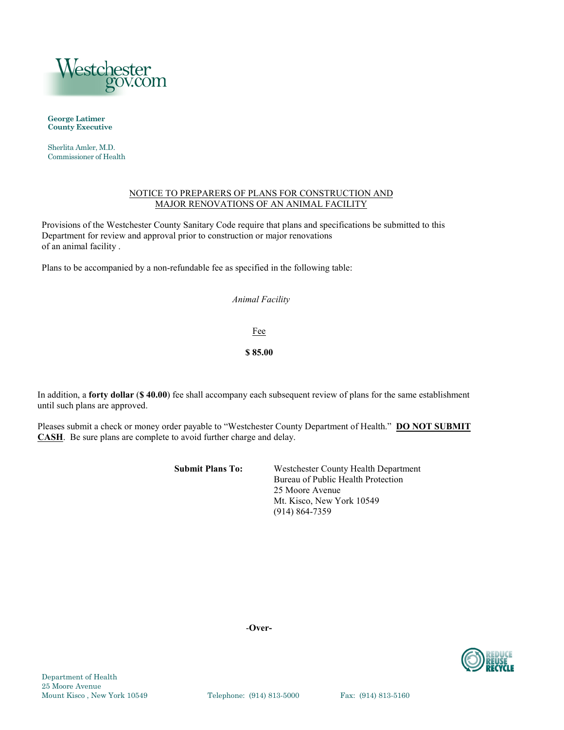

**George Latimer County Executive**

Sherlita Amler, M.D. Commissioner of Health

#### NOTICE TO PREPARERS OF PLANS FOR CONSTRUCTION AND MAJOR RENOVATIONS OF AN ANIMAL FACILITY

Provisions of the Westchester County Sanitary Code require that plans and specifications be submitted to this Department for review and approval prior to construction or major renovations of an animal facility .

Plans to be accompanied by a non-refundable fee as specified in the following table:

## *Animal Facility*

Fee

**\$ 85.00**

In addition, a **forty dollar** (**\$ 40.00**) fee shall accompany each subsequent review of plans for the same establishment until such plans are approved.

Pleases submit a check or money order payable to "Westchester County Department of Health." **DO NOT SUBMIT CASH**. Be sure plans are complete to avoid further charge and delay.

**Submit Plans To:** Westchester County Health Department Bureau of Public Health Protection 25 Moore Avenue Mt. Kisco, New York 10549 (914) 864-7359

-**Over-**

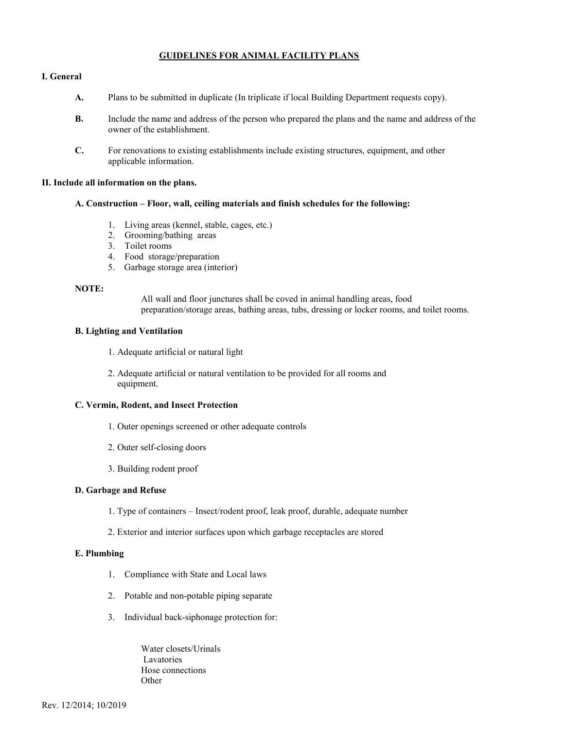## **GUIDELINES FOR ANIMAL FACILITY PLANS**

### **I. General**

- **A.** Plans to be submitted in duplicate (In triplicate if local Building Department requests copy).
- **B.** Include the name and address of the person who prepared the plans and the name and address of the owner of the establishment.
- **C.** For renovations to existing establishments include existing structures, equipment, and other applicable information.

### **II. Include all information on the plans.**

#### **A. Construction – Floor, wall, ceiling materials and finish schedules for the following:**

- 1. Living areas (kennel, stable, cages, etc.)
- 2. Grooming/bathing areas
- 3. Toilet rooms
- 4. Food storage/preparation
- 5. Garbage storage area (interior)

## **NOTE:**

All wall and floor junctures shall be coved in animal handling areas, food preparation/storage areas, bathing areas, tubs, dressing or locker rooms, and toilet rooms.

#### **B. Lighting and Ventilation**

- 1. Adequate artificial or natural light
- 2. Adequate artificial or natural ventilation to be provided for all rooms and equipment.

### **C. Vermin, Rodent, and Insect Protection**

- 1. Outer openings screened or other adequate controls
- 2. Outer self-closing doors
- 3. Building rodent proof

### **D. Garbage and Refuse**

- 1. Type of containers Insect/rodent proof, leak proof, durable, adequate number
- 2. Exterior and interior surfaces upon which garbage receptacles are stored

#### **E. Plumbing**

- 1. Compliance with State and Local laws
- 2. Potable and non-potable piping separate
- 3. Individual back-siphonage protection for:

Water closets/Urinals Lavatories Hose connections **Other**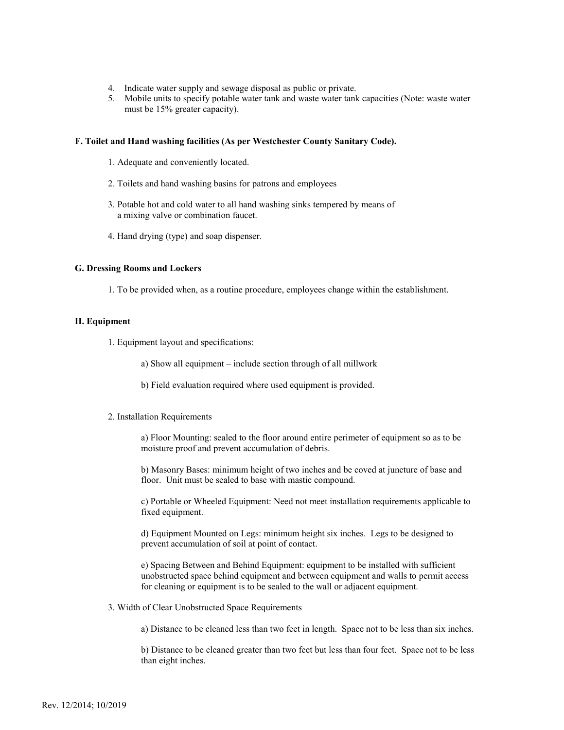- 4. Indicate water supply and sewage disposal as public or private.
- 5. Mobile units to specify potable water tank and waste water tank capacities (Note: waste water must be 15% greater capacity).

#### **F. Toilet and Hand washing facilities (As per Westchester County Sanitary Code).**

- 1. Adequate and conveniently located.
- 2. Toilets and hand washing basins for patrons and employees
- 3. Potable hot and cold water to all hand washing sinks tempered by means of a mixing valve or combination faucet.
- 4. Hand drying (type) and soap dispenser.

### **G. Dressing Rooms and Lockers**

1. To be provided when, as a routine procedure, employees change within the establishment.

#### **H. Equipment**

- 1. Equipment layout and specifications:
	- a) Show all equipment include section through of all millwork
	- b) Field evaluation required where used equipment is provided.

#### 2. Installation Requirements

a) Floor Mounting: sealed to the floor around entire perimeter of equipment so as to be moisture proof and prevent accumulation of debris.

b) Masonry Bases: minimum height of two inches and be coved at juncture of base and floor. Unit must be sealed to base with mastic compound.

c) Portable or Wheeled Equipment: Need not meet installation requirements applicable to fixed equipment.

d) Equipment Mounted on Legs: minimum height six inches. Legs to be designed to prevent accumulation of soil at point of contact.

e) Spacing Between and Behind Equipment: equipment to be installed with sufficient unobstructed space behind equipment and between equipment and walls to permit access for cleaning or equipment is to be sealed to the wall or adjacent equipment.

3. Width of Clear Unobstructed Space Requirements

a) Distance to be cleaned less than two feet in length. Space not to be less than six inches.

b) Distance to be cleaned greater than two feet but less than four feet. Space not to be less than eight inches.